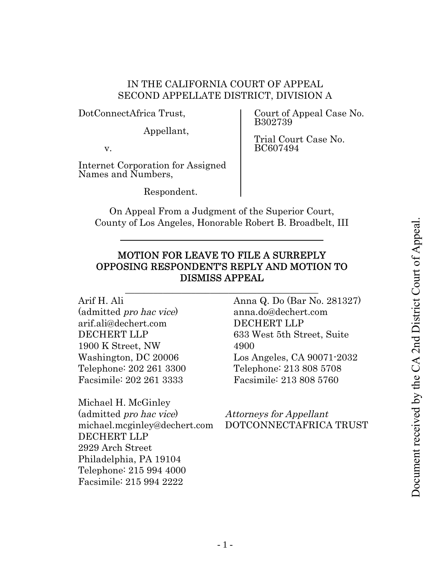# IN THE CALIFORNIA COURT OF APPEAL SECOND APPELLATE DISTRICT, DIVISION A

DotConnectAfrica Trust,

Appellant,

v.

Internet Corporation for Assigned Names and Numbers,

Respondent.

Court of Appeal Case No. B302739

Trial Court Case No. BC607494

On Appeal From a Judgment of the Superior Court, County of Los Angeles, Honorable Robert B. Broadbelt, III

# MOTION FOR LEAVE TO FILE A SURREPLY OPPOSING RESPONDENT'S REPLY AND MOTION TO DISMISS APPEAL

\_\_\_\_\_\_\_\_\_\_\_\_\_\_\_\_\_\_\_\_\_\_\_\_\_\_\_\_\_\_\_\_\_\_\_\_\_\_\_\_\_

Arif H. Ali (admitted pro hac vice) arif.ali@dechert.com DECHERT LLP 1900 K Street, NW Washington, DC 20006 Telephone: 202 261 3300 Facsimile: 202 261 3333

Michael H. McGinley (admitted pro hac vice) michael.mcginley@dechert.com DECHERT LLP 2929 Arch Street Philadelphia, PA 19104 Telephone: 215 994 4000 Facsimile: 215 994 2222

Anna Q. Do (Bar No. 281327) anna.do@dechert.com DECHERT LLP 633 West 5th Street, Suite 4900 Los Angeles, CA 90071-2032 Telephone: 213 808 5708 Facsimile: 213 808 5760

Attorneys for Appellant DOTCONNECTAFRICA TRUST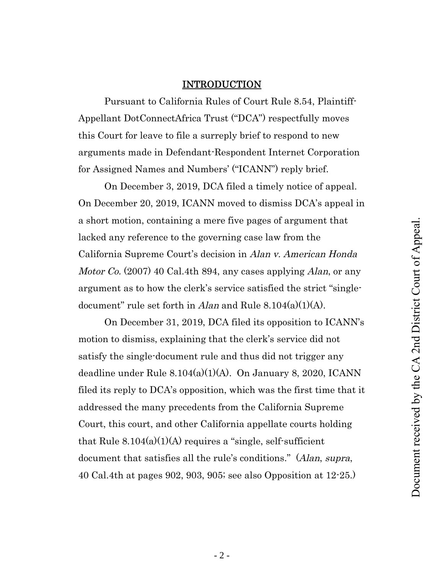## INTRODUCTION

Pursuant to California Rules of Court Rule 8.54, Plaintiff-Appellant DotConnectAfrica Trust ("DCA") respectfully moves this Court for leave to file a surreply brief to respond to new arguments made in Defendant-Respondent Internet Corporation for Assigned Names and Numbers' ("ICANN") reply brief.

On December 3, 2019, DCA filed a timely notice of appeal. On December 20, 2019, ICANN moved to dismiss DCA's appeal in a short motion, containing a mere five pages of argument that lacked any reference to the governing case law from the California Supreme Court's decision in Alan v. American Honda Motor Co. (2007) 40 Cal.4th 894, any cases applying Alan, or any argument as to how the clerk's service satisfied the strict "singledocument" rule set forth in Alan and Rule  $8.104(a)(1)(A)$ .

On December 31, 2019, DCA filed its opposition to ICANN's motion to dismiss, explaining that the clerk's service did not satisfy the single-document rule and thus did not trigger any deadline under Rule 8.104(a)(1)(A). On January 8, 2020, ICANN filed its reply to DCA's opposition, which was the first time that it addressed the many precedents from the California Supreme Court, this court, and other California appellate courts holding that Rule  $8.104(a)(1)(A)$  requires a "single, self-sufficient" document that satisfies all the rule's conditions." (Alan, supra, 40 Cal.4th at pages 902, 903, 905; see also Opposition at 12-25.)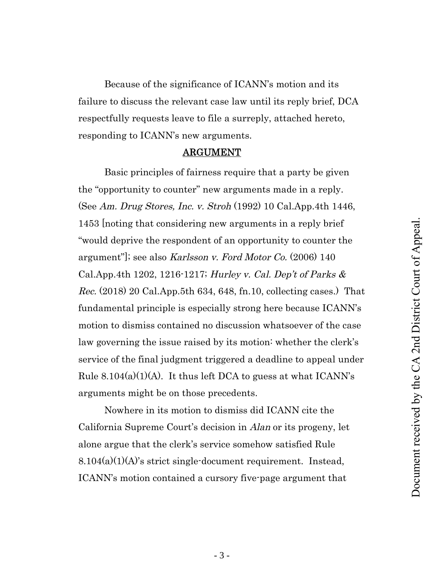Because of the significance of ICANN's motion and its failure to discuss the relevant case law until its reply brief, DCA respectfully requests leave to file a surreply, attached hereto, responding to ICANN's new arguments.

### ARGUMENT

Basic principles of fairness require that a party be given the "opportunity to counter" new arguments made in a reply. (See Am. Drug Stores, Inc. v. Stroh (1992) 10 Cal.App.4th 1446, 1453 [noting that considering new arguments in a reply brief "would deprive the respondent of an opportunity to counter the argument"]; see also Karlsson v. Ford Motor Co. (2006) 140 Cal.App.4th 1202, 1216-1217; Hurley v. Cal. Dep't of Parks & Rec. (2018) 20 Cal.App.5th 634, 648, fn.10, collecting cases.) That fundamental principle is especially strong here because ICANN's motion to dismiss contained no discussion whatsoever of the case law governing the issue raised by its motion: whether the clerk's service of the final judgment triggered a deadline to appeal under Rule  $8.104(a)(1)(A)$ . It thus left DCA to guess at what ICANN's arguments might be on those precedents.

Nowhere in its motion to dismiss did ICANN cite the California Supreme Court's decision in Alan or its progeny, let alone argue that the clerk's service somehow satisfied Rule  $8.104(a)(1)(A)$ 's strict single-document requirement. Instead, ICANN's motion contained a cursory five-page argument that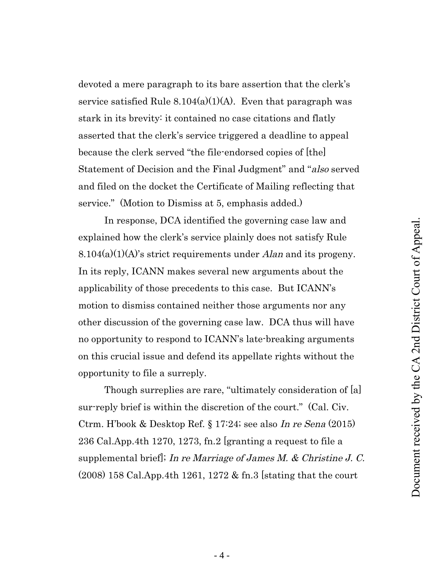devoted a mere paragraph to its bare assertion that the clerk's service satisfied Rule  $8.104(a)(1)(A)$ . Even that paragraph was stark in its brevity: it contained no case citations and flatly asserted that the clerk's service triggered a deadline to appeal because the clerk served "the file-endorsed copies of [the] Statement of Decision and the Final Judgment" and "also served and filed on the docket the Certificate of Mailing reflecting that service." (Motion to Dismiss at 5, emphasis added.)

In response, DCA identified the governing case law and explained how the clerk's service plainly does not satisfy Rule  $8.104(a)(1)(A)$ 's strict requirements under Alan and its progeny. In its reply, ICANN makes several new arguments about the applicability of those precedents to this case. But ICANN's motion to dismiss contained neither those arguments nor any other discussion of the governing case law. DCA thus will have no opportunity to respond to ICANN's late-breaking arguments on this crucial issue and defend its appellate rights without the opportunity to file a surreply.

Though surreplies are rare, "ultimately consideration of [a] sur-reply brief is within the discretion of the court." (Cal. Civ. Ctrm. H'book & Desktop Ref. § 17:24; see also In re Sena (2015) 236 Cal.App.4th 1270, 1273, fn.2 [granting a request to file a supplemental brief. In re Marriage of James M. & Christine J. C. (2008) 158 Cal.App.4th 1261, 1272 & fn.3 [stating that the court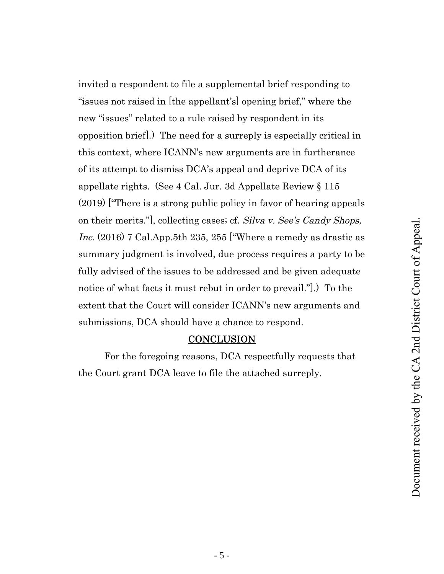invited a respondent to file a supplemental brief responding to "issues not raised in [the appellant's] opening brief," where the new "issues" related to a rule raised by respondent in its opposition brief].) The need for a surreply is especially critical in this context, where ICANN's new arguments are in furtherance of its attempt to dismiss DCA's appeal and deprive DCA of its appellate rights. (See 4 Cal. Jur. 3d Appellate Review § 115 (2019) ["There is a strong public policy in favor of hearing appeals on their merits."], collecting cases; cf. Silva v. See's Candy Shops, Inc. (2016) 7 Cal.App.5th 235, 255 ["Where a remedy as drastic as summary judgment is involved, due process requires a party to be fully advised of the issues to be addressed and be given adequate notice of what facts it must rebut in order to prevail."].) To the extent that the Court will consider ICANN's new arguments and submissions, DCA should have a chance to respond.

### **CONCLUSION**

For the foregoing reasons, DCA respectfully requests that the Court grant DCA leave to file the attached surreply.